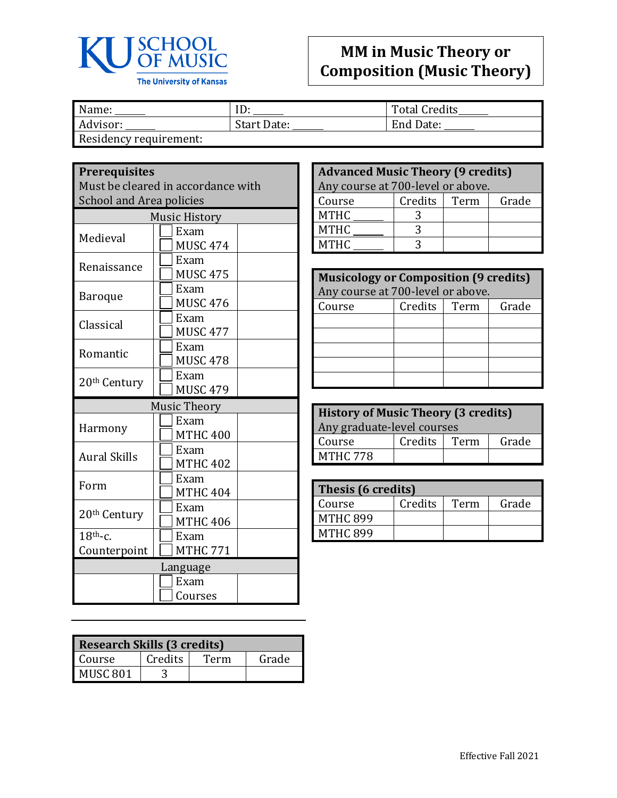

## **MM in Music Theory or Composition (Music Theory)**

Mame: <u>Name: ID:</u> ID: Total Credits<br>Advisor: Start Date: End Date: Name in the Start Date: Total Credits Start Date: Residency requirement:

## **Prerequisites**

Must be cleared in accordance with School and Area policies

| <b>Music History</b>     |                     |  |
|--------------------------|---------------------|--|
| Medieval                 | Exam                |  |
|                          | <b>MUSC 474</b>     |  |
|                          | Exam                |  |
| Renaissance              | <b>MUSC 475</b>     |  |
|                          | Exam                |  |
| <b>Baroque</b>           | <b>MUSC 476</b>     |  |
| Classical                | Exam                |  |
|                          | <b>MUSC 477</b>     |  |
| Romantic                 | Exam                |  |
|                          | <b>MUSC 478</b>     |  |
| 20 <sup>th</sup> Century | Exam                |  |
|                          | <b>MUSC 479</b>     |  |
|                          | <b>Music Theory</b> |  |
|                          | Exam                |  |
| Harmony                  | <b>MTHC 400</b>     |  |
| <b>Aural Skills</b>      | Exam                |  |
|                          | <b>MTHC 402</b>     |  |
| Form                     | Exam                |  |
|                          | <b>MTHC 404</b>     |  |
| 20 <sup>th</sup> Century | Exam                |  |
|                          | <b>MTHC 406</b>     |  |
| $18th$ -c.               | Exam                |  |
| Counterpoint             | <b>MTHC 771</b>     |  |
| Language                 |                     |  |
|                          | Exam                |  |
|                          | Courses             |  |
|                          |                     |  |

| <b>Research Skills (3 credits)</b> |         |      |       |
|------------------------------------|---------|------|-------|
| Course                             | Credits | Term | Grade |
| MUSC 801                           |         |      |       |

| <b>Advanced Music Theory (9 credits)</b><br>Any course at 700-level or above. |         |      |       |
|-------------------------------------------------------------------------------|---------|------|-------|
| Course                                                                        | Credits | Term | Grade |
| <b>MTHC</b>                                                                   |         |      |       |
| <b>MTHC</b>                                                                   |         |      |       |
| <b>MTHC</b>                                                                   |         |      |       |

| <b>Musicology or Composition (9 credits)</b> |         |      |       |
|----------------------------------------------|---------|------|-------|
| Any course at 700-level or above.            |         |      |       |
| Course                                       | Credits | Term | Grade |
|                                              |         |      |       |
|                                              |         |      |       |
|                                              |         |      |       |
|                                              |         |      |       |
|                                              |         |      |       |

| <b>History of Music Theory (3 credits)</b> |                |  |       |
|--------------------------------------------|----------------|--|-------|
| Any graduate-level courses                 |                |  |       |
| Course                                     | Credits   Term |  | Grade |
| <b>MTHC 778</b>                            |                |  |       |

| Thesis (6 credits) |         |      |       |
|--------------------|---------|------|-------|
| Course             | Credits | Term | Grade |
| <b>MTHC 899</b>    |         |      |       |
| <b>MTHC 899</b>    |         |      |       |